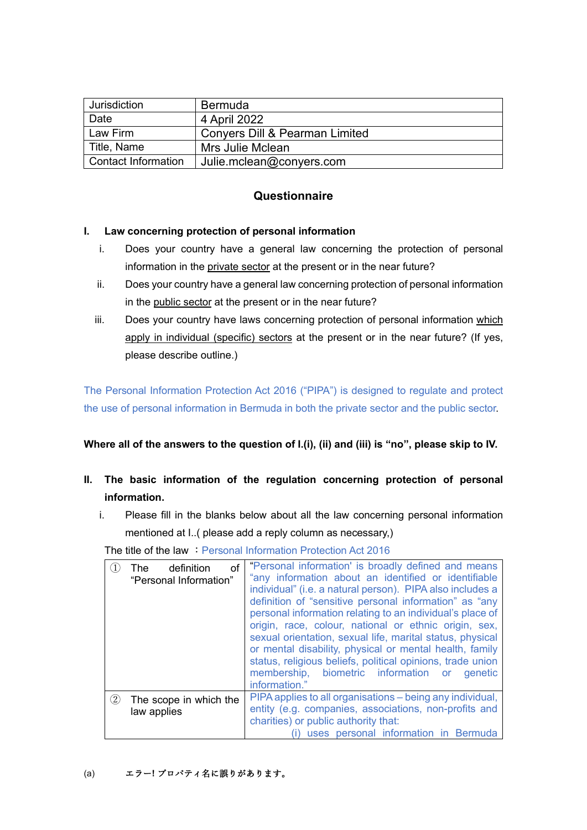| Jurisdiction        | <b>Bermuda</b>                 |
|---------------------|--------------------------------|
| Date                | 4 April 2022                   |
| Law Firm            | Convers Dill & Pearman Limited |
| Title, Name         | Mrs Julie Mclean               |
| Contact Information | Julie.mclean@conyers.com       |

# **Questionnaire**

### **I. Law concerning protection of personal information**

- i. Does your country have a general law concerning the protection of personal information in the private sector at the present or in the near future?
- ii. Does your country have a general law concerning protection of personal information in the public sector at the present or in the near future?
- iii. Does your country have laws concerning protection of personal information which apply in individual (specific) sectors at the present or in the near future? (If yes, please describe outline.)

The Personal Information Protection Act 2016 ("PIPA") is designed to regulate and protect the use of personal information in Bermuda in both the private sector and the public sector.

## **Where all of the answers to the question of I.(i), (ii) and (iii) is "no", please skip to IV.**

- **II. The basic information of the regulation concerning protection of personal information.**
	- i. Please fill in the blanks below about all the law concerning personal information mentioned at I..( please add a reply column as necessary,)

The title of the law : Personal Information Protection Act 2016

|          | definition<br>οf<br>The<br>"Personal Information" | "Personal information' is broadly defined and means<br>"any information about an identified or identifiable<br>individual" (i.e. a natural person). PIPA also includes a<br>definition of "sensitive personal information" as "any<br>personal information relating to an individual's place of<br>origin, race, colour, national or ethnic origin, sex,<br>sexual orientation, sexual life, marital status, physical<br>or mental disability, physical or mental health, family<br>status, religious beliefs, political opinions, trade union<br>membership, biometric information or<br>genetic<br>information." |
|----------|---------------------------------------------------|--------------------------------------------------------------------------------------------------------------------------------------------------------------------------------------------------------------------------------------------------------------------------------------------------------------------------------------------------------------------------------------------------------------------------------------------------------------------------------------------------------------------------------------------------------------------------------------------------------------------|
| $\rm(2)$ | The scope in which the<br>law applies             | PIPA applies to all organisations – being any individual,<br>entity (e.g. companies, associations, non-profits and<br>charities) or public authority that:<br>uses personal information in Bermuda                                                                                                                                                                                                                                                                                                                                                                                                                 |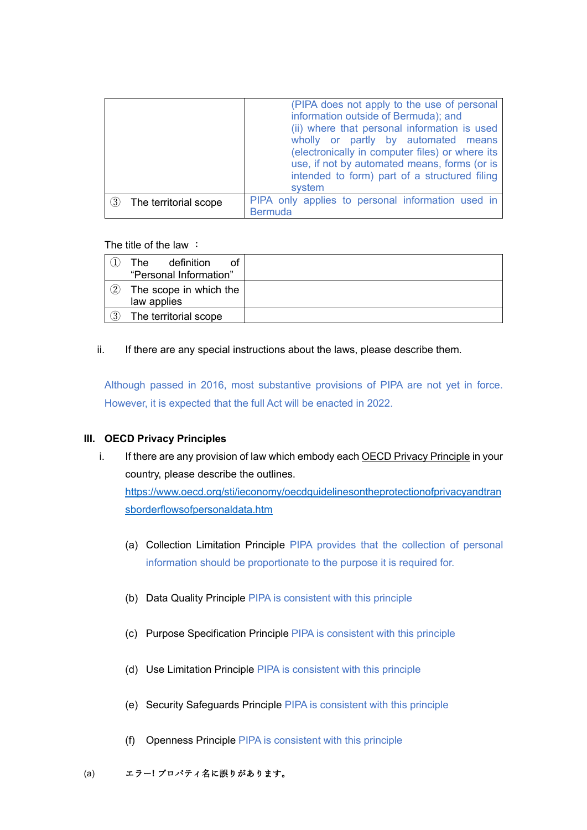|                       | (PIPA does not apply to the use of personal<br>information outside of Bermuda); and<br>(ii) where that personal information is used<br>wholly or partly by automated means<br>(electronically in computer files) or where its<br>use, if not by automated means, forms (or is<br>intended to form) part of a structured filing<br>system |
|-----------------------|------------------------------------------------------------------------------------------------------------------------------------------------------------------------------------------------------------------------------------------------------------------------------------------------------------------------------------------|
| (3)                   | PIPA only applies to personal information used in                                                                                                                                                                                                                                                                                        |
| The territorial scope | <b>Bermuda</b>                                                                                                                                                                                                                                                                                                                           |

The title of the law :

|    | definition<br>Thel<br>Ωf<br>"Personal Information" |  |
|----|----------------------------------------------------|--|
| 2) | The scope in which the<br>law applies              |  |
| 3) | The territorial scope                              |  |

#### ii. If there are any special instructions about the laws, please describe them.

Although passed in 2016, most substantive provisions of PIPA are not yet in force. However, it is expected that the full Act will be enacted in 2022.

### **III. OECD Privacy Principles**

i. If there are any provision of law which embody each OECD Privacy Principle in your country, please describe the outlines.

[https://www.oecd.org/sti/ieconomy/oecdguidelinesontheprotectionofprivacyandtran](https://www.oecd.org/sti/ieconomy/oecdguidelinesontheprotectionofprivacyandtransborderflowsofpersonaldata.htm) [sborderflowsofpersonaldata.htm](https://www.oecd.org/sti/ieconomy/oecdguidelinesontheprotectionofprivacyandtransborderflowsofpersonaldata.htm)

- (a) Collection Limitation Principle PIPA provides that the collection of personal information should be proportionate to the purpose it is required for.
- (b) Data Quality Principle PIPA is consistent with this principle
- (c) Purpose Specification Principle PIPA is consistent with this principle
- (d) Use Limitation Principle PIPA is consistent with this principle
- (e) Security Safeguards Principle PIPA is consistent with this principle
- (f) Openness Principle PIPA is consistent with this principle
- (a) エラー**!** プロパティ名に誤りがあります。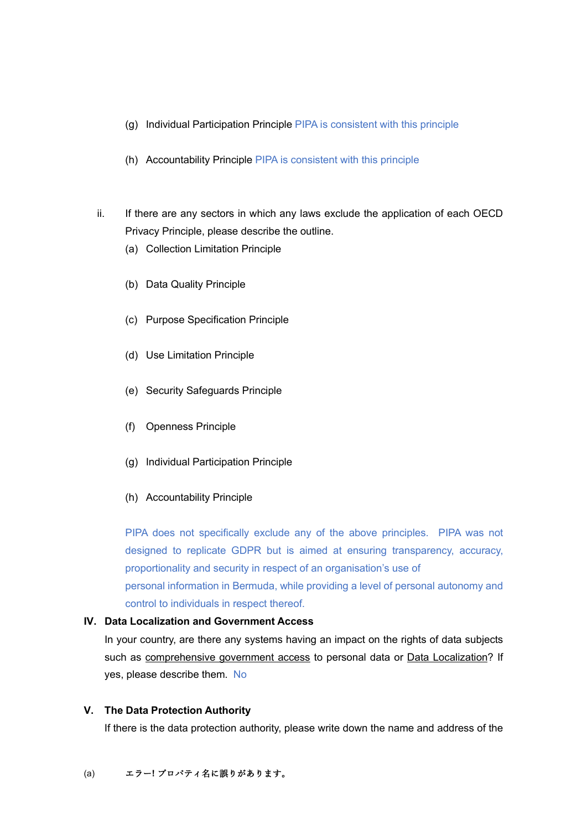- (g) Individual Participation Principle PIPA is consistent with this principle
- (h) Accountability Principle PIPA is consistent with this principle
- ii. If there are any sectors in which any laws exclude the application of each OECD Privacy Principle, please describe the outline.
	- (a) Collection Limitation Principle
	- (b) Data Quality Principle
	- (c) Purpose Specification Principle
	- (d) Use Limitation Principle
	- (e) Security Safeguards Principle
	- (f) Openness Principle
	- (g) Individual Participation Principle
	- (h) Accountability Principle

PIPA does not specifically exclude any of the above principles. PIPA was not designed to replicate GDPR but is aimed at ensuring transparency, accuracy, proportionality and security in respect of an organisation's use of personal information in Bermuda, while providing a level of personal autonomy and control to individuals in respect thereof.

### **IV. Data Localization and Government Access**

In your country, are there any systems having an impact on the rights of data subjects such as comprehensive government access to personal data or Data Localization? If yes, please describe them. No

#### **V. The Data Protection Authority**

If there is the data protection authority, please write down the name and address of the

#### (a) エラー**!** プロパティ名に誤りがあります。